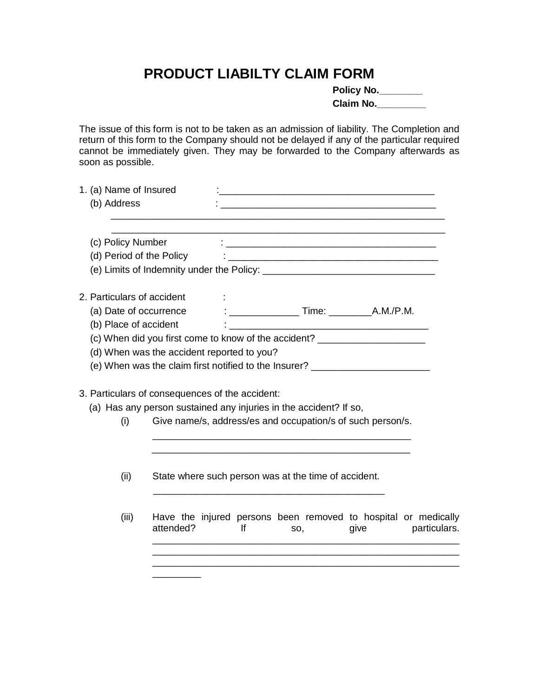## **PRODUCT LIABILTY CLAIM FORM**

**Policy No.\_\_\_\_\_\_\_\_ Claim No.\_\_\_\_\_\_\_\_\_**

The issue of this form is not to be taken as an admission of liability. The Completion and return of this form to the Company should not be delayed if any of the particular required cannot be immediately given. They may be forwarded to the Company afterwards as soon as possible.

|  | 1. (a) Name of Insured<br>(b) Address                                                                                                                                                     |                                                      |  |    |     |  |                                                                        |  |              |
|--|-------------------------------------------------------------------------------------------------------------------------------------------------------------------------------------------|------------------------------------------------------|--|----|-----|--|------------------------------------------------------------------------|--|--------------|
|  | (c) Policy Number                                                                                                                                                                         |                                                      |  |    |     |  |                                                                        |  |              |
|  | (d) Period of the Policy                                                                                                                                                                  |                                                      |  |    |     |  |                                                                        |  |              |
|  |                                                                                                                                                                                           |                                                      |  |    |     |  |                                                                        |  |              |
|  | 2. Particulars of accident                                                                                                                                                                |                                                      |  |    |     |  |                                                                        |  |              |
|  |                                                                                                                                                                                           |                                                      |  |    |     |  |                                                                        |  |              |
|  | (b) Place of accident                                                                                                                                                                     |                                                      |  |    |     |  |                                                                        |  |              |
|  | (c) When did you first come to know of the accident? ___________________________                                                                                                          |                                                      |  |    |     |  |                                                                        |  |              |
|  | (d) When was the accident reported to you?                                                                                                                                                |                                                      |  |    |     |  |                                                                        |  |              |
|  | (e) When was the claim first notified to the Insurer? __________________________                                                                                                          |                                                      |  |    |     |  |                                                                        |  |              |
|  | 3. Particulars of consequences of the accident:<br>(a) Has any person sustained any injuries in the accident? If so,<br>Give name/s, address/es and occupation/s of such person/s.<br>(i) |                                                      |  |    |     |  |                                                                        |  |              |
|  | (ii)                                                                                                                                                                                      | State where such person was at the time of accident. |  |    |     |  |                                                                        |  |              |
|  | (iii)                                                                                                                                                                                     | attended?                                            |  | If | SO, |  | Have the injured persons been removed to hospital or medically<br>give |  | particulars. |
|  |                                                                                                                                                                                           |                                                      |  |    |     |  |                                                                        |  |              |
|  |                                                                                                                                                                                           |                                                      |  |    |     |  |                                                                        |  |              |
|  |                                                                                                                                                                                           |                                                      |  |    |     |  |                                                                        |  |              |